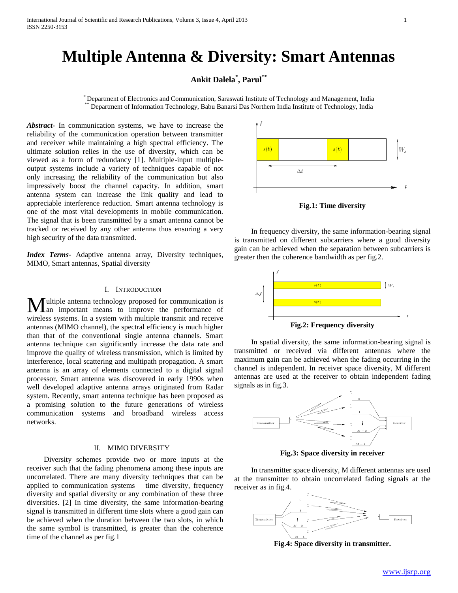# **Multiple Antenna & Diversity: Smart Antennas**

## **Ankit Dalela\* , Parul\*\***

\* Department of Electronics and Communication, Saraswati Institute of Technology and Management, India \*\* Department of Information Technology, Babu Banarsi Das Northern India Institute of Technology, India

*Abstract***-** In communication systems, we have to increase the reliability of the communication operation between transmitter and receiver while maintaining a high spectral efficiency. The ultimate solution relies in the use of diversity, which can be viewed as a form of redundancy [1]. Multiple-input multipleoutput systems include a variety of techniques capable of not only increasing the reliability of the communication but also impressively boost the channel capacity. In addition, smart antenna system can increase the link quality and lead to appreciable interference reduction. Smart antenna technology is one of the most vital developments in mobile communication. The signal that is been transmitted by a smart antenna cannot be tracked or received by any other antenna thus ensuring a very high security of the data transmitted.

*Index Terms*- Adaptive antenna array, Diversity techniques, MIMO, Smart antennas, Spatial diversity

### I. INTRODUCTION

ultiple antenna technology proposed for communication is **M**ultiple antenna technology proposed for communication is an important means to improve the performance of wireless systems. In a system with multiple transmit and receive antennas (MIMO channel), the spectral efficiency is much higher than that of the conventional single antenna channels. Smart antenna technique can significantly increase the data rate and improve the quality of wireless transmission, which is limited by interference, local scattering and multipath propagation. A smart antenna is an array of elements connected to a digital signal processor. Smart antenna was discovered in early 1990s when well developed adaptive antenna arrays originated from Radar system. Recently, smart antenna technique has been proposed as a promising solution to the future generations of wireless communication systems and broadband wireless access networks.

#### II. MIMO DIVERSITY

 Diversity schemes provide two or more inputs at the receiver such that the fading phenomena among these inputs are uncorrelated. There are many diversity techniques that can be applied to communication systems – time diversity, frequency diversity and spatial diversity or any combination of these three diversities. [2] In time diversity, the same information-bearing signal is transmitted in different time slots where a good gain can be achieved when the duration between the two slots, in which the same symbol is transmitted, is greater than the coherence time of the channel as per fig.1



**Fig.1: Time diversity**

 In frequency diversity, the same information-bearing signal is transmitted on different subcarriers where a good diversity gain can be achieved when the separation between subcarriers is greater then the coherence bandwidth as per fig.2.



**Fig.2: Frequency diversity**

 In spatial diversity, the same information-bearing signal is transmitted or received via different antennas where the maximum gain can be achieved when the fading occurring in the channel is independent. In receiver space diversity, M different antennas are used at the receiver to obtain independent fading signals as in fig.3.



**Fig.3: Space diversity in receiver**

 In transmitter space diversity, M different antennas are used at the transmitter to obtain uncorrelated fading signals at the receiver as in fig.4.



**Fig.4: Space diversity in transmitter.**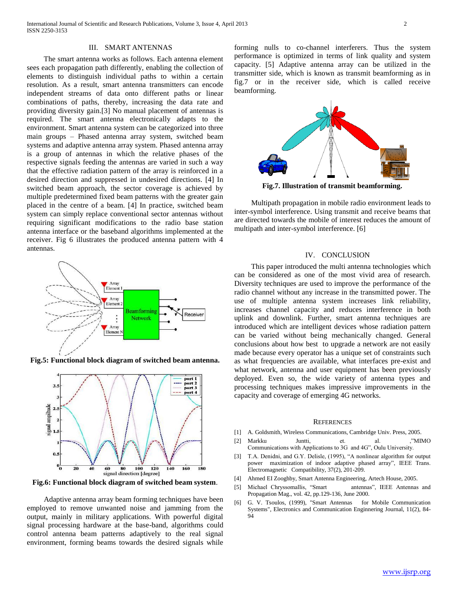#### III. SMART ANTENNAS

 The smart antenna works as follows. Each antenna element sees each propagation path differently, enabling the collection of elements to distinguish individual paths to within a certain resolution. As a result, smart antenna transmitters can encode independent streams of data onto different paths or linear combinations of paths, thereby, increasing the data rate and providing diversity gain.[3] No manual placement of antennas is required. The smart antenna electronically adapts to the environment. Smart antenna system can be categorized into three main groups – Phased antenna array system, switched beam systems and adaptive antenna array system. Phased antenna array is a group of antennas in which the relative phases of the respective signals feeding the antennas are varied in such a way that the effective radiation pattern of the array is reinforced in a desired direction and suppressed in undesired directions. [4] In switched beam approach, the sector coverage is achieved by multiple predetermined fixed beam patterns with the greater gain placed in the centre of a beam. [4] In practice, switched beam system can simply replace conventional sector antennas without requiring significant modifications to the radio base station antenna interface or the baseband algorithms implemented at the receiver. Fig 6 illustrates the produced antenna pattern with 4 antennas.



**Fig.5: Functional block diagram of switched beam antenna.**



**Fig.6: Functional block diagram of switched beam system**.

 Adaptive antenna array beam forming techniques have been employed to remove unwanted noise and jamming from the output, mainly in military applications. With powerful digital signal processing hardware at the base-band, algorithms could control antenna beam patterns adaptively to the real signal environment, forming beams towards the desired signals while forming nulls to co-channel interferers. Thus the system performance is optimized in terms of link quality and system capacity. [5] Adaptive antenna array can be utilized in the transmitter side, which is known as transmit beamforming as in fig.7 or in the receiver side, which is called receive beamforming.



**Fig.7. Illustration of transmit beamforming.**

 Multipath propagation in mobile radio environment leads to inter-symbol interference. Using transmit and receive beams that are directed towards the mobile of interest reduces the amount of multipath and inter-symbol interference. [6]

#### IV. CONCLUSION

 This paper introduced the multi antenna technologies which can be considered as one of the most vivid area of research. Diversity techniques are used to improve the performance of the radio channel without any increase in the transmitted power. The use of multiple antenna system increases link reliability, increases channel capacity and reduces interference in both uplink and downlink. Further, smart antenna techniques are introduced which are intelligent devices whose radiation pattern can be varied without being mechanically changed. General conclusions about how best to upgrade a network are not easily made because every operator has a unique set of constraints such as what frequencies are available, what interfaces pre-exist and what network, antenna and user equipment has been previously deployed. Even so, the wide variety of antenna types and processing techniques makes impressive improvements in the capacity and coverage of emerging 4G networks.

#### **REFERENCES**

- [1] A. Goldsmith, Wireless Communications, Cambridge Univ. Press, 2005.
- [2] Markku Juntti, et. al. ,"MIMO Communications with Applications to 3G and 4G", Oulu University.
- [3] T.A. Denidni, and G.Y. Delisle, (1995), "A nonlinear algorithm for output power maximization of indoor adaptive phased array", IEEE Trans. Electromagnetic Compatibility, 37(2), 201-209.
- [4] Ahmed EI Zooghby, Smart Antenna Engineering, Artech House, 2005.
- [5] Michael Chryssomallis, "Smart antennas", IEEE Antennas and Propagation Mag., vol. 42, pp.129-136, June 2000.
- [6] G. V. Tsoulos, (1999), "Smart Antennas for Mobile Communication Systems", Electronics and Communication Enginnering Journal, 11(2), 84- 94